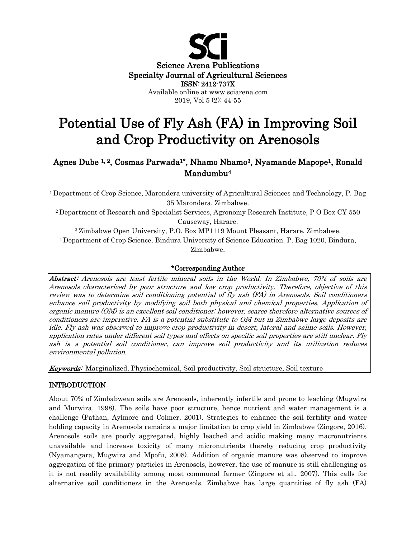

# Potential Use of Fly Ash (FA) in Improving Soil and Crop Productivity on Arenosols

# Agnes Dube 1, 2, Cosmas Parwada1\*, Nhamo Nhamo3, Nyamande Mapope1, Ronald Mandumbu<sup>4</sup>

<sup>1</sup>Department of Crop Science, Marondera university of Agricultural Sciences and Technology, P. Bag 35 Marondera, Zimbabwe.

<sup>2</sup>Department of Research and Specialist Services, Agronomy Research Institute, P O Box CY 550 Causeway, Harare.

<sup>3</sup> Zimbabwe Open University, P.O. Box MP1119 Mount Pleasant, Harare, Zimbabwe. <sup>4</sup>Department of Crop Science, Bindura University of Science Education. P. Bag 1020, Bindura, Zimbabwe.

### \*Corresponding Author

Abstract: Arenosols are least fertile mineral soils in the World. In Zimbabwe, 70% of soils are Arenosols characterized by poor structure and low crop productivity. Therefore, objective of this review was to determine soil conditioning potential of fly ash (FA) in Arenosols. Soil conditioners enhance soil productivity by modifying soil both physical and chemical properties. Application of organic manure (OM) is an excellent soil conditioner; however, scarce therefore alternative sources of conditioners are imperative. FA is a potential substitute to OM but in Zimbabwe large deposits are idle. Fly ash was observed to improve crop productivity in desert, lateral and saline soils. However, application rates under different soil types and effects on specific soil properties are still unclear. Fly ash is a potential soil conditioner, can improve soil productivity and its utilization reduces environmental pollution.

**Keywords:** Marginalized, Physiochemical, Soil productivity, Soil structure, Soil texture

## INTRODUCTION

About 70% of Zimbabwean soils are Arenosols, inherently infertile and prone to leaching (Mugwira and Murwira, 1998). The soils have poor structure, hence nutrient and water management is a challenge (Pathan, Aylmore and Colmer, 2001). Strategies to enhance the soil fertility and water holding capacity in Arenosols remains a major limitation to crop yield in Zimbabwe (Zingore, 2016). Arenosols soils are poorly aggregated, highly leached and acidic making many macronutrients unavailable and increase toxicity of many micronutrients thereby reducing crop productivity (Nyamangara, Mugwira and Mpofu, 2008). Addition of organic manure was observed to improve aggregation of the primary particles in Arenosols, however, the use of manure is still challenging as it is not readily availability among most communal farmer (Zingore et al., 2007). This calls for alternative soil conditioners in the Arenosols. Zimbabwe has large quantities of fly ash (FA)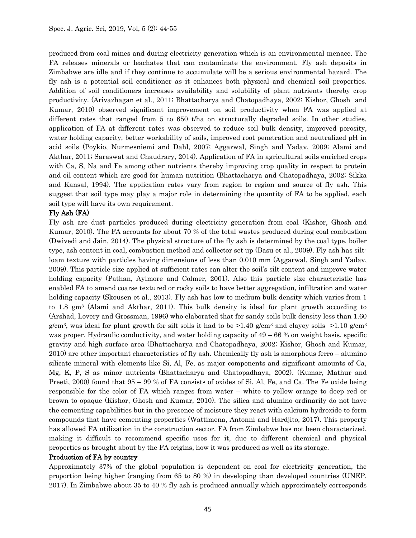produced from coal mines and during electricity generation which is an environmental menace. The FA releases minerals or leachates that can contaminate the environment. Fly ash deposits in Zimbabwe are idle and if they continue to accumulate will be a serious environmental hazard. The fly ash is a potential soil conditioner as it enhances both physical and chemical soil properties. Addition of soil conditioners increases availability and solubility of plant nutrients thereby crop productivity. (Arivazhagan et al., 2011; Bhattacharya and Chatopadhaya, 2002; Kishor, Ghosh and Kumar, 2010) observed significant improvement on soil productivity when FA was applied at different rates that ranged from 5 to 650 t/ha on structurally degraded soils. In other studies, application of FA at different rates was observed to reduce soil bulk density, improved porosity, water holding capacity, better workability of soils, improved root penetration and neutralized pH in acid soils (Poykio, Nurmesniemi and Dahl, 2007; Aggarwal, Singh and Yadav, 2009; Alami and Akthar, 2011; Saraswat and Chaudrary, 2014). Application of FA in agricultural soils enriched crops with Ca, S, Na and Fe among other nutrients thereby improving crop quality in respect to protein and oil content which are good for human nutrition (Bhattacharya and Chatopadhaya, 2002; Sikka and Kansal, 1994). The application rates vary from region to region and source of fly ash. This suggest that soil type may play a major role in determining the quantity of FA to be applied, each soil type will have its own requirement.

#### Fly Ash (FA)

Fly ash are dust particles produced during electricity generation from coal (Kishor, Ghosh and Kumar, 2010). The FA accounts for about 70 % of the total wastes produced during coal combustion (Dwivedi and Jain, 2014). The physical structure of the fly ash is determined by the coal type, boiler type, ash content in coal, combustion method and collector set up (Basu et al., 2009). Fly ash has siltloam texture with particles having dimensions of less than 0.010 mm (Aggarwal, Singh and Yadav, 2009). This particle size applied at sufficient rates can alter the soil's silt content and improve water holding capacity (Pathan, Aylmore and Colmer, 2001). Also this particle size characteristic has enabled FA to amend coarse textured or rocky soils to have better aggregation, infiltration and water holding capacity (Skousen et al., 2013). Fly ash has low to medium bulk density which varies from 1 to 1.8  $\text{gm}^3$  (Alami and Akthar, 2011). This bulk density is ideal for plant growth according to (Arshad, Lovery and Grossman, 1996) who elaborated that for sandy soils bulk density less than 1.60  $g/cm<sup>3</sup>$ , was ideal for plant growth for silt soils it had to be  $>1.40$  g/cm<sup>3</sup> and clayey soils  $>1.10$  g/cm<sup>3</sup> was proper. Hydraulic conductivity, and water holding capacity of  $49 - 66$  % on weight basis, specific gravity and high surface area (Bhattacharya and Chatopadhaya, 2002; Kishor, Ghosh and Kumar, 2010) are other important characteristics of fly ash. Chemically fly ash is amorphous ferro – alumino silicate mineral with elements like Si, Al, Fe, as major components and significant amounts of Ca, Mg, K, P, S as minor nutrients (Bhattacharya and Chatopadhaya, 2002). (Kumar, Mathur and Preeti, 2000) found that 95 – 99 % of FA consists of oxides of Si, Al, Fe, and Ca. The Fe oxide being responsible for the color of FA which ranges from water – white to yellow orange to deep red or brown to opaque (Kishor, Ghosh and Kumar, 2010). The silica and alumino ordinarily do not have the cementing capabilities but in the presence of moisture they react with calcium hydroxide to form compounds that have cementing properties (Wattimena, Antonni and Hardjito, 2017). This property has allowed FA utilization in the construction sector. FA from Zimbabwe has not been characterized, making it difficult to recommend specific uses for it, due to different chemical and physical properties as brought about by the FA origins, how it was produced as well as its storage.

#### Production of FA by country

Approximately 37% of the global population is dependent on coal for electricity generation, the proportion being higher (ranging from 65 to 80 %) in developing than developed countries (UNEP, 2017). In Zimbabwe about 35 to 40 % fly ash is produced annually which approximately corresponds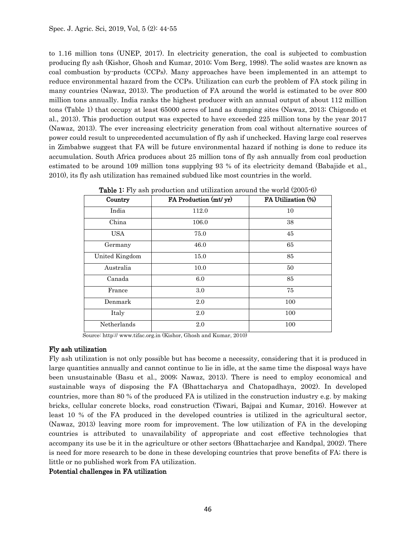to 1.16 million tons (UNEP, 2017). In electricity generation, the coal is subjected to combustion producing fly ash (Kishor, Ghosh and Kumar, 2010; Vom Berg, 1998). The solid wastes are known as coal combustion by-products (CCPs). Many approaches have been implemented in an attempt to reduce environmental hazard from the CCPs. Utilization can curb the problem of FA stock piling in many countries (Nawaz, 2013). The production of FA around the world is estimated to be over 800 million tons annually. India ranks the highest producer with an annual output of about 112 million tons (Table 1) that occupy at least 65000 acres of land as dumping sites (Nawaz, 2013; Chigondo et al., 2013). This production output was expected to have exceeded 225 million tons by the year 2017 (Nawaz, 2013). The ever increasing electricity generation from coal without alternative sources of power could result to unprecedented accumulation of fly ash if unchecked. Having large coal reserves in Zimbabwe suggest that FA will be future environmental hazard if nothing is done to reduce its accumulation. South Africa produces about 25 million tons of fly ash annually from coal production estimated to be around 109 million tons supplying 93 % of its electricity demand (Babajide et al., 2010), its fly ash utilization has remained subdued like most countries in the world.

| Country        | FA Production (mt/ yr) | FA Utilization (%) |
|----------------|------------------------|--------------------|
| India          | 112.0                  | 10                 |
| China          | 106.0                  | 38                 |
| <b>USA</b>     | 75.0                   | 45                 |
| Germany        | 46.0                   | 65                 |
| United Kingdom | 15.0                   | 85                 |
| Australia      | 10.0                   | 50                 |
| Canada         | 6.0                    | 85                 |
| France         | 3.0                    | 75                 |
| Denmark        | 2.0                    | 100                |
| Italy          | 2.0                    | 100                |
| Netherlands    | 2.0                    | 100                |

Table 1: Fly ash production and utilization around the world (2005-6)

Source: http:// www.tifac.org.in (Kishor, Ghosh and Kumar, 2010)

#### Fly ash utilization

Fly ash utilization is not only possible but has become a necessity, considering that it is produced in large quantities annually and cannot continue to lie in idle, at the same time the disposal ways have been unsustainable (Basu et al., 2009; Nawaz, 2013). There is need to employ economical and sustainable ways of disposing the FA (Bhattacharya and Chatopadhaya, 2002). In developed countries, more than 80 % of the produced FA is utilized in the construction industry e.g. by making bricks, cellular concrete blocks, road construction (Tiwari, Bajpai and Kumar, 2016). However at least 10 % of the FA produced in the developed countries is utilized in the agricultural sector, (Nawaz, 2013) leaving more room for improvement. The low utilization of FA in the developing countries is attributed to unavailability of appropriate and cost effective technologies that accompany its use be it in the agriculture or other sectors (Bhattacharjee and Kandpal, 2002). There is need for more research to be done in these developing countries that prove benefits of FA; there is little or no published work from FA utilization.

#### Potential challenges in FA utilization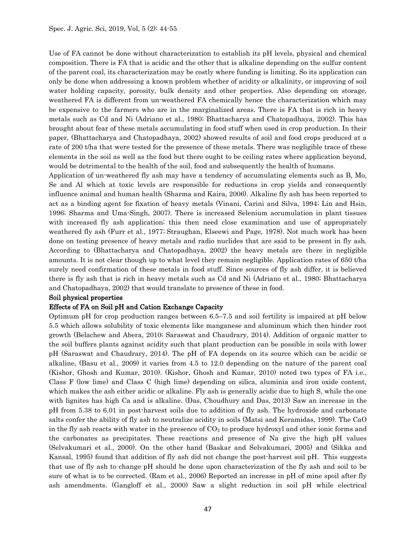Use of FA cannot be done without characterization to establish its pH levels, physical and chemical composition. There is FA that is acidic and the other that is alkaline depending on the sulfur content of the parent coal, its characterization may be costly where funding is limiting. So its application can only be done when addressing a known problem whether of acidity or alkalinity, or improving of soil water holding capacity, porosity, bulk density and other properties. Also depending on storage, weathered FA is different from un-weathered FA chemically hence the characterization which may be expensive to the farmers who are in the marginalized areas. There is FA that is rich in heavy metals such as Cd and Ni (Adriano et al., 1980; Bhattacharya and Chatopadhaya, 2002). This has brought about fear of these metals accumulating in food stuff when used in crop production. In their paper, (Bhattacharya and Chatopadhaya, 2002) showed results of soil and food crops produced at a rate of 200 t/ha that were tested for the presence of these metals. There was negligible trace of these elements in the soil as well as the food but there ought to be ceiling rates where application beyond, would be detrimental to the health of the soil, food and subsequently the health of humans.

Application of un-weathered fly ash may have a tendency of accumulating elements such as B, Mo, Se and Al which at toxic levels are responsible for reductions in crop yields and consequently influence animal and human health (Sharma and Kaira, 2006). Alkaline fly ash has been reported to act as a binding agent for fixation of heavy metals (Vinani, Carini and Silva, 1994; Lin and Hsin, 1996; Sharma and Uma-Singh, 2007). There is increased Selenium accumulation in plant tissues with increased fly ash application; this then need close examination and use of appropriately weathered fly ash (Furr et al., 1977; Straughan, Elseewi and Page, 1978). Not much work has been done on testing presence of heavy metals and radio nuclides that are said to be present in fly ash. According to (Bhattacharya and Chatopadhaya, 2002) the heavy metals are there in negligible amounts. It is not clear though up to what level they remain negligible. Application rates of 650 t/ha surely need confirmation of these metals in food stuff. Since sources of fly ash differ, it is believed there is fly ash that is rich in heavy metals such as Cd and Ni (Adriano et al., 1980; Bhattacharya and Chatopadhaya, 2002) that would translate to presence of these in food.

#### Soil physical properties

#### Effects of FA on Soil pH and Cation Exchange Capacity

Optimum pH for crop production ranges between 6.5–7.5 and soil fertility is impaired at pH below 5.5 which allows solubility of toxic elements like manganese and aluminum which then hinder root growth (Belachew and Abera, 2010; Saraswat and Chaudrary, 2014). Addition of organic matter to the soil buffers plants against acidity such that plant production can be possible in soils with lower pH (Saraswat and Chaudrary, 2014). The pH of FA depends on its source which can be acidic or alkaline, (Basu et al., 2009) it varies from 4.5 to 12.0 depending on the nature of the parent coal (Kishor, Ghosh and Kumar, 2010). (Kishor, Ghosh and Kumar, 2010) noted two types of FA i.e., Class F (low lime) and Class C (high lime) depending on silica, aluminia and iron oxide content, which makes the ash either acidic or alkaline. Fly ash is generally acidic due to high S, while the one with lignites has high Ca and is alkaline. (Das, Choudhury and Das, 2013) Saw an increase in the pH from 5.38 to 6.01 in post-harvest soils due to addition of fly ash. The hydroxide and carbonate salts confer the ability of fly ash to neutralize acidity in soils (Matsi and Keramidas, 1999). The CaO in the fly ash reacts with water in the presence of  $CO<sub>2</sub>$  to produce hydroxyl and other ionic forms and the carbonates as precipitates. These reactions and presence of Na give the high pH values (Selvakumari et al., 2000). On the other hand (Baskar and Selvakumari, 2005) and (Sikka and Kansal, 1995) found that addition of fly ash did not change the post-harvest soil pH. This suggests that use of fly ash to change pH should be done upon characterization of the fly ash and soil to be sure of what is to be corrected. (Ram et al., 2006) Reported an increase in pH of mine spoil after fly ash amendments. (Gangloff et al., 2000) Saw a slight reduction in soil pH while electrical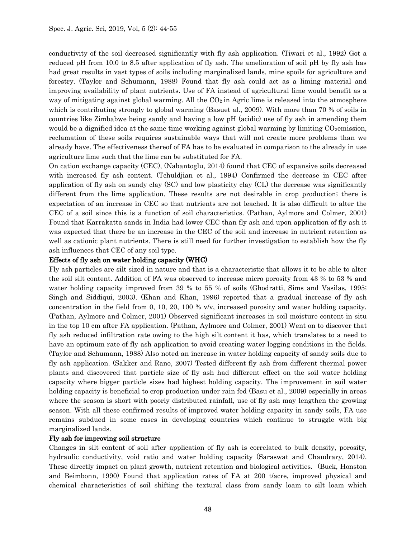conductivity of the soil decreased significantly with fly ash application. (Tiwari et al., 1992) Got a reduced pH from 10.0 to 8.5 after application of fly ash. The amelioration of soil pH by fly ash has had great results in vast types of soils including marginalized lands, mine spoils for agriculture and forestry. (Taylor and Schumann, 1988) Found that fly ash could act as a liming material and improving availability of plant nutrients. Use of FA instead of agricultural lime would benefit as a way of mitigating against global warming. All the  $CO<sub>2</sub>$  in Agric lime is released into the atmosphere which is contributing strongly to global warming (Basuet al., 2009). With more than 70 % of soils in countries like Zimbabwe being sandy and having a low pH (acidic) use of fly ash in amending them would be a dignified idea at the same time working against global warming by limiting  $CO<sub>2</sub>$ emission, reclamation of these soils requires sustainable ways that will not create more problems than we already have. The effectiveness thereof of FA has to be evaluated in comparison to the already in use agriculture lime such that the lime can be substituted for FA.

On cation exchange capacity (CEC), (Nabantoglu, 2014) found that CEC of expansive soils decreased with increased fly ash content. (Tchuldjian et al., 1994) Confirmed the decrease in CEC after application of fly ash on sandy clay (SC) and low plasticity clay (CL) the decrease was significantly different from the lime application. These results are not desirable in crop production; there is expectation of an increase in CEC so that nutrients are not leached. It is also difficult to alter the CEC of a soil since this is a function of soil characteristics. (Pathan, Aylmore and Colmer, 2001) Found that Karrakatta sands in India had lower CEC than fly ash and upon application of fly ash it was expected that there be an increase in the CEC of the soil and increase in nutrient retention as well as cationic plant nutrients. There is still need for further investigation to establish how the fly ash influences that CEC of any soil type.

#### Effects of fly ash on water holding capacity (WHC)

Fly ash particles are silt sized in nature and that is a characteristic that allows it to be able to alter the soil silt content. Addition of FA was observed to increase micro porosity from 43 % to 53 % and water holding capacity improved from 39 % to 55 % of soils (Ghodratti, Sims and Vasilas, 1995; Singh and Siddiqui, 2003). (Khan and Khan, 1996) reported that a gradual increase of fly ash concentration in the field from 0, 10, 20, 100 % v/v, increased porosity and water holding capacity. (Pathan, Aylmore and Colmer, 2001) Observed significant increases in soil moisture content in situ in the top 10 cm after FA application. (Pathan, Aylmore and Colmer, 2001) Went on to discover that fly ash reduced infiltration rate owing to the high silt content it has, which translates to a need to have an optimum rate of fly ash application to avoid creating water logging conditions in the fields. (Taylor and Schumann, 1988) Also noted an increase in water holding capacity of sandy soils due to fly ash application. (Sakker and Rano, 2007) Tested different fly ash from different thermal power plants and discovered that particle size of fly ash had different effect on the soil water holding capacity where bigger particle sizes had highest holding capacity. The improvement in soil water holding capacity is beneficial to crop production under rain fed (Basu et al., 2009) especially in areas where the season is short with poorly distributed rainfall, use of fly ash may lengthen the growing season. With all these confirmed results of improved water holding capacity in sandy soils, FA use remains subdued in some cases in developing countries which continue to struggle with big marginalized lands.

#### Fly ash for improving soil structure

Changes in silt content of soil after application of fly ash is correlated to bulk density, porosity, hydraulic conductivity, void ratio and water holding capacity (Saraswat and Chaudrary, 2014). These directly impact on plant growth, nutrient retention and biological activities. (Buck, Honston and Beimbonn, 1990) Found that application rates of FA at 200 t/acre, improved physical and chemical characteristics of soil shifting the textural class from sandy loam to silt loam which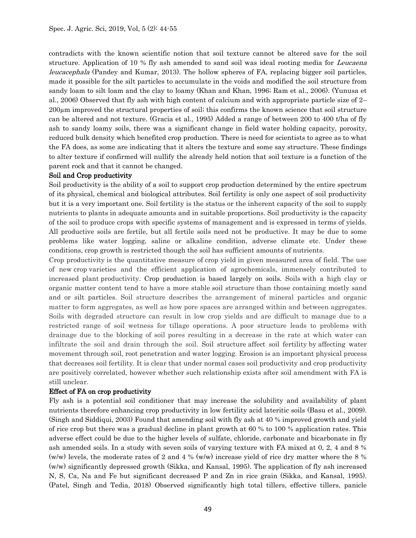contradicts with the known scientific notion that soil texture cannot be altered save for the soil structure. Application of 10 % fly ash amended to sand soil was ideal rooting media for Leucaena leucacephala (Pandey and Kumar, 2013). The hollow spheres of FA, replacing bigger soil particles, made it possible for the silt particles to accumulate in the voids and modified the soil structure from sandy loam to silt loam and the clay to loamy (Khan and Khan, 1996; Ram et al., 2006). (Yunusa et al., 2006) Observed that fly ash with high content of calcium and with appropriate particle size of 2– 200µm improved the structural properties of soil; this confirms the known science that soil structure can be altered and not texture. (Gracia et al., 1995) Added a range of between 200 to 400 t/ha of fly ash to sandy loamy soils, there was a significant change in field water holding capacity, porosity, reduced bulk density which benefited crop production. There is need for scientists to agree as to what the FA does, as some are indicating that it alters the texture and some say structure. These findings to alter texture if confirmed will nullify the already held notion that soil texture is a function of the parent rock and that it cannot be changed.

#### Soil and Crop productivity

Soil productivity is the ability of a soil to support crop production determined by the entire spectrum of its physical, chemical and biological attributes. Soil fertility is only one aspect of soil productivity but it is a very important one. Soil fertility is the status or the inherent capacity of the soil to supply nutrients to plants in adequate amounts and in suitable proportions. Soil productivity is the capacity of the soil to produce crops with specific systems of management and is expressed in terms of yields. All productive soils are fertile, but all fertile soils need not be productive. It may be due to some problems like water logging, saline or alkaline condition, adverse climate etc. Under these conditions, crop growth is restricted though the soil has sufficient amounts of nutrients.

Crop productivity is the quantitative measure of crop yield in given measured area of field. The use of new crop varieties and the efficient application of agrochemicals, immensely contributed to increased plant productivity. Crop production is based largely on soils. Soils with a high clay or organic matter content tend to have a more stable soil structure than those containing mostly sand and or silt particles. Soil structure describes the arrangement of mineral particles and organic matter to form aggregates, as well as how pore spaces are arranged within and between aggregates. Soils with degraded structure can result in low crop yields and are difficult to manage due to a restricted range of soil wetness for tillage operations. A poor structure leads to problems with drainage due to the blocking of soil pores resulting in a decrease in the rate at which water can infiltrate the soil and drain through the soil. Soil structure affect soil fertility by affecting water movement through soil, root penetration and water logging. Erosion is an important physical process that decreases soil fertility. It is clear that under normal cases soil productivity and crop productivity are positively correlated, however whether such relationship exists after soil amendment with FA is still unclear.

#### Effect of FA on crop productivity

Fly ash is a potential soil conditioner that may increase the solubility and availability of plant nutrients therefore enhancing crop productivity in low fertility acid lateritic soils (Basu et al., 2009). (Singh and Siddiqui, 2003) Found that amending soil with fly ash at 40 % improved growth and yield of rice crop but there was a gradual decline in plant growth at 60 % to 100 % application rates. This adverse effect could be due to the higher levels of sulfate, chloride, carbonate and bicarbonate in fly ash amended soils. In a study with seven soils of varying texture with FA mixed at 0, 2, 4 and 8 % (w/w) levels, the moderate rates of 2 and 4 % (w/w) increase yield of rice dry matter where the 8 % (w/w) significantly depressed growth (Sikka, and Kansal, 1995). The application of fly ash increased N, S, Ca, Na and Fe but significant decreased P and Zn in rice grain (Sikka, and Kansal, 1995). (Patel, Singh and Tedia, 2018) Observed significantly high total tillers, effective tillers, panicle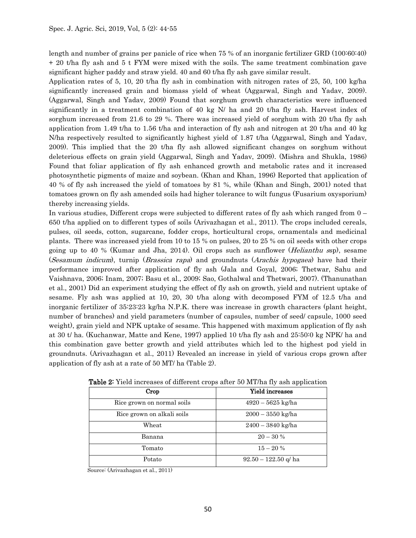length and number of grains per panicle of rice when 75 % of an inorganic fertilizer GRD (100:60:40) + 20 t/ha fly ash and 5 t FYM were mixed with the soils. The same treatment combination gave significant higher paddy and straw yield. 40 and 60 t/ha fly ash gave similar result.

Application rates of 5, 10, 20 t/ha fly ash in combination with nitrogen rates of 25, 50, 100 kg/ha significantly increased grain and biomass yield of wheat (Aggarwal, Singh and Yadav, 2009). (Aggarwal, Singh and Yadav, 2009) Found that sorghum growth characteristics were influenced significantly in a treatment combination of 40 kg N/ ha and 20 t/ha fly ash. Harvest index of sorghum increased from 21.6 to 29 %. There was increased yield of sorghum with 20 t/ha fly ash application from 1.49 t/ha to 1.56 t/ha and interaction of fly ash and nitrogen at 20 t/ha and 40 kg N/ha respectively resulted to significantly highest yield of 1.87 t/ha (Aggarwal, Singh and Yadav, 2009). This implied that the 20 t/ha fly ash allowed significant changes on sorghum without deleterious effects on grain yield (Aggarwal, Singh and Yadav, 2009). (Mishra and Shukla, 1986) Found that foliar application of fly ash enhanced growth and metabolic rates and it increased photosynthetic pigments of maize and soybean. (Khan and Khan, 1996) Reported that application of 40 % of fly ash increased the yield of tomatoes by 81 %, while (Khan and Singh, 2001) noted that tomatoes grown on fly ash amended soils had higher tolerance to wilt fungus (Fusarium oxysporium) thereby increasing yields.

In various studies, Different crops were subjected to different rates of fly ash which ranged from 0 – 650 t/ha applied on to different types of soils (Arivazhagan et al., 2011). The crops included cereals, pulses, oil seeds, cotton, sugarcane, fodder crops, horticultural crops, ornamentals and medicinal plants. There was increased yield from 10 to 15 % on pulses, 20 to 25 % on oil seeds with other crops going up to 40 % (Kumar and Jha, 2014). Oil crops such as sunflower (Helianthu ssp), sesame (Sesamum indicum), turnip (Brassica rapa) and groundnuts (Arachis hypogaea) have had their performance improved after application of fly ash (Jala and Goyal, 2006; Thetwar, Sahu and Vaishnava, 2006; Inam, 2007; Basu et al., 2009; Sao, Gothalwal and Thetwari, 2007). (Thanunathan et al., 2001) Did an experiment studying the effect of fly ash on growth, yield and nutrient uptake of sesame. Fly ash was applied at 10, 20, 30 t/ha along with decomposed FYM of 12.5 t/ha and inorganic fertilizer of 35:23:23 kg/ha N.P.K. there was increase in growth characters (plant height, number of branches) and yield parameters (number of capsules, number of seed/ capsule, 1000 seed weight), grain yield and NPK uptake of sesame. This happened with maximum application of fly ash at 30 t/ ha. (Kuchanwar, Matte and Kene, 1997) applied 10 t/ha fly ash and 25:50:0 kg NPK/ ha and this combination gave better growth and yield attributes which led to the highest pod yield in groundnuts. (Arivazhagan et al., 2011) Revealed an increase in yield of various crops grown after application of fly ash at a rate of 50 MT/ ha (Table 2).

| Crop                       | Yield increases        |
|----------------------------|------------------------|
| Rice grown on normal soils | $4920 - 5625$ kg/ha    |
| Rice grown on alkali soils | $2000 - 3550$ kg/ha    |
| Wheat                      | $2400 - 3840$ kg/ha    |
| Banana                     | $20 - 30 %$            |
| Tomato                     | $15 - 20%$             |
| Potato                     | $92.50 - 122.50$ q/ ha |

Table 2: Yield increases of different crops after 50 MT/ha fly ash application

Source: (Arivazhagan et al., 2011)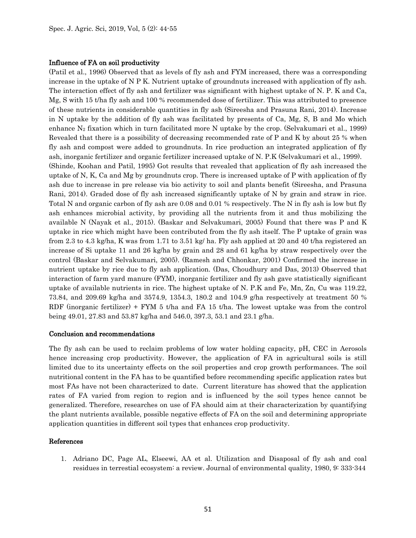#### Influence of FA on soil productivity

(Patil et al., 1996) Observed that as levels of fly ash and FYM increased, there was a corresponding increase in the uptake of N P K. Nutrient uptake of groundnuts increased with application of fly ash. The interaction effect of fly ash and fertilizer was significant with highest uptake of N. P. K and Ca, Mg, S with 15 t/ha fly ash and 100 % recommended dose of fertilizer. This was attributed to presence of these nutrients in considerable quantities in fly ash (Sireesha and Prasuna Rani, 2014). Increase in N uptake by the addition of fly ash was facilitated by presents of Ca, Mg, S, B and Mo which enhance  $N_2$  fixation which in turn facilitated more N uptake by the crop. (Selvakumari et al., 1999) Revealed that there is a possibility of decreasing recommended rate of P and K by about 25 % when fly ash and compost were added to groundnuts. In rice production an integrated application of fly ash, inorganic fertilizer and organic fertilizer increased uptake of N. P.K (Selvakumari et al., 1999). (Shinde, Koohan and Patil, 1995) Got results that revealed that application of fly ash increased the uptake of N, K, Ca and Mg by groundnuts crop. There is increased uptake of P with application of fly ash due to increase in pre release via bio activity to soil and plants benefit (Sireesha, and Prasuna Rani, 2014). Graded dose of fly ash increased significantly uptake of N by grain and straw in rice. Total N and organic carbon of fly ash are 0.08 and 0.01 % respectively. The N in fly ash is low but fly ash enhances microbial activity, by providing all the nutrients from it and thus mobilizing the available N (Nayak et al., 2015). (Baskar and Selvakumari, 2005) Found that there was P and K uptake in rice which might have been contributed from the fly ash itself. The P uptake of grain was from 2.3 to 4.3 kg/ha, K was from 1.71 to 3.51 kg/ ha. Fly ash applied at 20 and 40 t/ha registered an increase of Si uptake 11 and 26 kg/ha by grain and 28 and 61 kg/ha by straw respectively over the control (Baskar and Selvakumari, 2005). (Ramesh and Chhonkar, 2001) Confirmed the increase in nutrient uptake by rice due to fly ash application. (Das, Choudhury and Das, 2013) Observed that interaction of farm yard manure (FYM), inorganic fertilizer and fly ash gave statistically significant uptake of available nutrients in rice. The highest uptake of N. P.K and Fe, Mn, Zn, Cu was 119.22, 73.84, and 209.69 kg/ha and 3574.9, 1354.3, 180.2 and 104.9 g/ha respectively at treatment 50 % RDF (inorganic fertilizer) + FYM 5 t/ha and FA 15 t/ha. The lowest uptake was from the control being 49.01, 27.83 and 53.87 kg/ha and 546.0, 397.3, 53.1 and 23.1 g/ha.

#### Conclusion and recommendations

The fly ash can be used to reclaim problems of low water holding capacity, pH, CEC in Aerosols hence increasing crop productivity. However, the application of FA in agricultural soils is still limited due to its uncertainty effects on the soil properties and crop growth performances. The soil nutritional content in the FA has to be quantified before recommending specific application rates but most FAs have not been characterized to date. Current literature has showed that the application rates of FA varied from region to region and is influenced by the soil types hence cannot be generalized. Therefore, researches on use of FA should aim at their characterization by quantifying the plant nutrients available, possible negative effects of FA on the soil and determining appropriate application quantities in different soil types that enhances crop productivity.

#### References

1. Adriano DC, Page AL, Elseewi, AA et al. Utilization and Disaposal of fly ash and coal residues in terrestial ecosystem: a review. Journal of environmental quality, 1980, 9: 333-344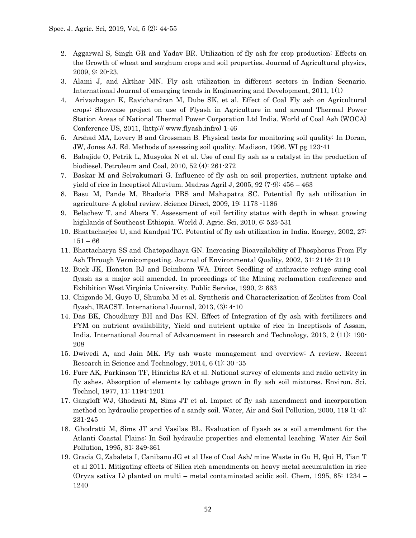- 2. Aggarwal S, Singh GR and Yadav BR. Utilization of fly ash for crop production: Effects on the Growth of wheat and sorghum crops and soil properties. Journal of Agricultural physics, 2009, 9: 20-23.
- 3. Alami J, and Akthar MN. Fly ash utilization in different sectors in Indian Scenario. International Journal of emerging trends in Engineering and Development, 2011, 1(1)
- 4. Arivazhagan K, Ravichandran M, Dube SK, et al. Effect of Coal Fly ash on Agricultural crops: Showcase project on use of Flyash in Agriculture in and around Thermal Power Station Areas of National Thermal Power Corporation Ltd India. World of Coal Ash (WOCA) Conference US, 2011, (http:// www.flyash.infro) 1-46
- 5. Arshad MA, Lovery B and Grossman B. Physical tests for monitoring soil quality: In Doran, JW, Jones AJ. Ed. Methods of assessing soil quality. Madison, 1996. WI pg 123-41
- 6. Babajide O, Petrik L, Musyoka N et al. Use of coal fly ash as a catalyst in the production of biodiesel. Petroleum and Coal, 2010, 52 (4): 261-272
- 7. Baskar M and Selvakumari G. Influence of fly ash on soil properties, nutrient uptake and yield of rice in Inceptisol Alluvium. Madras Agril J, 2005, 92 (7-9): 456 – 463
- 8. Basu M, Pande M, Bhadoria PBS and Mahapatra SC. Potential fly ash utilization in agriculture: A global review. Science Direct, 2009, 19: 1173 -1186
- 9. Belachew T. and Abera Y. Assessment of soil fertility status with depth in wheat growing highlands of Southeast Ethiopia. World J. Agric. Sci, 2010, 6: 525-531
- 10. Bhattacharjee U, and Kandpal TC. Potential of fly ash utilization in India. Energy, 2002, 27: 151 – 66
- 11. Bhattacharya SS and Chatopadhaya GN. Increasing Bioavailability of Phosphorus From Fly Ash Through Vermicomposting. Journal of Environmental Quality, 2002, 31: 2116- 2119
- 12. Buck JK, Honston RJ and Beimbonn WA. Direct Seedling of anthracite refuge suing coal flyash as a major soil amended. In proceedings of the Mining reclamation conference and Exhibition West Virginia University. Public Service, 1990, 2: 663
- 13. Chigondo M, Guyo U, Shumba M et al. Synthesis and Characterization of Zeolites from Coal flyash, IRACST. International Journal, 2013, (3): 4-10
- 14. Das BK, Choudhury BH and Das KN. Effect of Integration of fly ash with fertilizers and FYM on nutrient availability, Yield and nutrient uptake of rice in Inceptisols of Assam, India. International Journal of Advancement in research and Technology, 2013, 2 (11): 190- 208
- 15. Dwivedi A, and Jain MK. Fly ash waste management and overview: A review. Recent Research in Science and Technology, 2014, 6 (1): 30 -35
- 16. Furr AK, Parkinson TF, Hinrichs RA et al. National survey of elements and radio activity in fly ashes. Absorption of elements by cabbage grown in fly ash soil mixtures. Environ. Sci. Technol, 1977, 11: 1194-1201
- 17. Gangloff WJ, Ghodrati M, Sims JT et al. Impact of fly ash amendment and incorporation method on hydraulic properties of a sandy soil. Water, Air and Soil Pollution, 2000, 119 (1-4): 231-245
- 18. Ghodratti M, Sims JT and Vasilas BL. Evaluation of flyash as a soil amendment for the Atlanti Coastal Plains: In Soil hydraulic properties and elemental leaching. Water Air Soil Pollution, 1995, 81: 349-361
- 19. Gracia G, Zabaleta I, Canibano JG et al Use of Coal Ash/ mine Waste in Gu H, Qui H, Tian T et al 2011. Mitigating effects of Silica rich amendments on heavy metal accumulation in rice (Oryza sativa L) planted on multi – metal contaminated acidic soil. Chem, 1995, 85: 1234 – 1240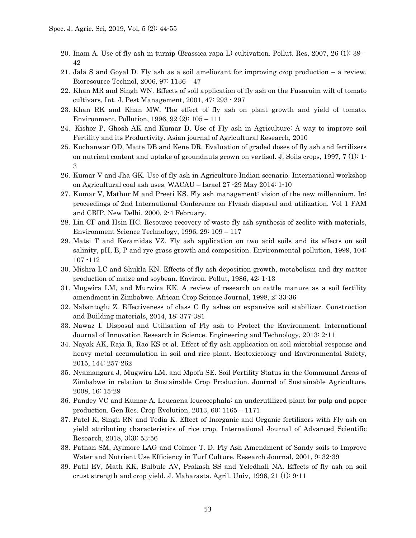- 20. Inam A. Use of fly ash in turnip (Brassica rapa L) cultivation. Pollut. Res, 2007, 26 (1): 39 42
- 21. Jala S and Goyal D. Fly ash as a soil ameliorant for improving crop production a review. Bioresource Technol, 2006, 97: 1136 – 47
- 22. Khan MR and Singh WN. Effects of soil application of fly ash on the Fusaruim wilt of tomato cultivars, Int. J. Pest Management, 2001, 47: 293 - 297
- 23. Khan RK and Khan MW. The effect of fly ash on plant growth and yield of tomato. Environment. Pollution, 1996, 92 (2): 105 – 111
- 24. Kishor P, Ghosh AK and Kumar D. Use of Fly ash in Agriculture: A way to improve soil Fertility and its Productivity. Asian journal of Agricultural Research, 2010
- 25. Kuchanwar OD, Matte DB and Kene DR. Evaluation of graded doses of fly ash and fertilizers on nutrient content and uptake of groundnuts grown on vertisol. J. Soils crops, 1997, 7 (1): 1- 3
- 26. Kumar V and Jha GK. Use of fly ash in Agriculture Indian scenario. International workshop on Agricultural coal ash uses. WACAU – Israel 27 -29 May 2014: 1-10
- 27. Kumar V, Mathur M and Preeti KS. Fly ash management: vision of the new millennium. In: proceedings of 2nd International Conference on Flyash disposal and utilization. Vol 1 FAM and CBIP, New Delhi. 2000, 2-4 February.
- 28. Lin CF and Hsin HC. Resource recovery of waste fly ash synthesis of zeolite with materials, Environment Science Technology, 1996, 29: 109 – 117
- 29. Matsi T and Keramidas VZ. Fly ash application on two acid soils and its effects on soil salinity, pH, B, P and rye grass growth and composition. Environmental pollution, 1999, 104: 107 -112
- 30. Mishra LC and Shukla KN. Effects of fly ash deposition growth, metabolism and dry matter production of maize and soybean. Environ. Pollut, 1986, 42: 1-13
- 31. Mugwira LM, and Murwira KK. A review of research on cattle manure as a soil fertility amendment in Zimbabwe. African Crop Science Journal, 1998, 2: 33-36
- 32. Nabantoglu Z. Effectiveness of class C fly ashes on expansive soil stabilizer. Construction and Building materials, 2014, 18: 377-381
- 33. Nawaz I. Disposal and Utilisation of Fly ash to Protect the Environment. International Journal of Innovation Research in Science. Engineering and Technology, 2013: 2-11
- 34. Nayak AK, Raja R, Rao KS et al. Effect of fly ash application on soil microbial response and heavy metal accumulation in soil and rice plant. Ecotoxicology and Environmental Safety, 2015, 144: 257-262
- 35. Nyamangara J, Mugwira LM. and Mpofu SE. Soil Fertility Status in the Communal Areas of Zimbabwe in relation to Sustainable Crop Production. Journal of Sustainable Agriculture, 2008, 16: 15-29
- 36. Pandey VC and Kumar A. Leucaena leucocephala: an underutilized plant for pulp and paper production. Gen Res. Crop Evolution, 2013, 60: 1165 – 1171
- 37. Patel K, Singh RN and Tedia K. Effect of Inorganic and Organic fertilizers with Fly ash on yield attributing characteristics of rice crop. International Journal of Advanced Scientific Research, 2018, 3(3): 53-56
- 38. Pathan SM, Aylmore LAG and Colmer T. D. Fly Ash Amendment of Sandy soils to Improve Water and Nutrient Use Efficiency in Turf Culture. Research Journal, 2001, 9: 32-39
- 39. Patil EV, Math KK, Bulbule AV, Prakash SS and Yeledhali NA. Effects of fly ash on soil crust strength and crop yield. J. Maharasta. Agril. Univ, 1996, 21 (1): 9-11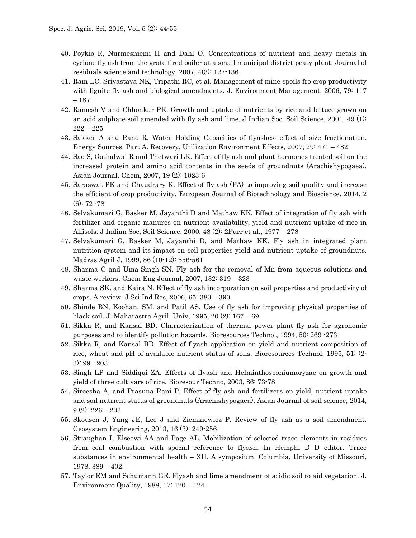- 40. Poykio R, Nurmesniemi H and Dahl O. Concentrations of nutrient and heavy metals in cyclone fly ash from the grate fired boiler at a small municipal district peaty plant. Journal of residuals science and technology, 2007, 4(3): 127-136
- 41. Ram LC, Srivastava NK, Tripathi RC, et al. Management of mine spoils fro crop productivity with lignite fly ash and biological amendments. J. Environment Management, 2006, 79: 117 – 187
- 42. Ramesh V and Chhonkar PK. Growth and uptake of nutrients by rice and lettuce grown on an acid sulphate soil amended with fly ash and lime. J Indian Soc. Soil Science, 2001, 49 (1):  $222 - 225$
- 43. Sakker A and Rano R. Water Holding Capacities of flyashes: effect of size fractionation. Energy Sources. Part A. Recovery, Utilization Environment Effects, 2007, 29: 471 – 482
- 44. Sao S, Gothalwal R and Thetwari LK. Effect of fly ash and plant hormones treated soil on the increased protein and amino acid contents in the seeds of groundnuts (Arachishypogaea). Asian Journal. Chem, 2007, 19 (2): 1023-6
- 45. Saraswat PK and Chaudrary K. Effect of fly ash (FA) to improving soil quality and increase the efficient of crop productivity. European Journal of Biotechnology and Bioscience, 2014, 2 (6): 72 -78
- 46. Selvakumari G, Basker M, Jayanthi D and Mathaw KK. Effect of integration of fly ash with fertilizer and organic manures on nutrient availability, yield and nutrient uptake of rice in Alfisols. J Indian Soc, Soil Science, 2000, 48 (2): 2Furr et al., 1977 – 278
- 47. Selvakumari G, Basker M, Jayanthi D, and Mathaw KK. Fly ash in integrated plant nutrition system and its impact on soil properties yield and nutrient uptake of groundnuts. Madras Agril J, 1999, 86 (10-12): 556-561
- 48. Sharma C and Uma-Singh SN. Fly ash for the removal of Mn from aqueous solutions and waste workers. Chem Eng Journal, 2007, 132: 319 – 323
- 49. Sharma SK. and Kaira N. Effect of fly ash incorporation on soil properties and productivity of crops. A review. J Sci Ind Res, 2006, 65: 383 – 390
- 50. Shinde BN, Koohan, SM. and Patil AS. Use of fly ash for improving physical properties of black soil. J. Maharastra Agril. Univ, 1995, 20 (2): 167 – 69
- 51. Sikka R, and Kansal BD. Characterization of thermal power plant fly ash for agronomic purposes and to identify pollution hazards. Bioresources Technol, 1994, 50: 269 -273
- 52. Sikka R, and Kansal BD. Effect of flyash application on yield and nutrient composition of rice, wheat and pH of available nutrient status of soils. Bioresources Technol, 1995, 51: (2- 3)199 - 203
- 53. Singh LP and Siddiqui ZA. Effects of flyash and Helminthosponiumoryzae on growth and yield of three cultivars of rice. Bioresour Techno, 2003, 86: 73-78
- 54. Sireesha A, and Prasuna Rani P. Effect of fly ash and fertilizers on yield, nutrient uptake and soil nutrient status of groundnuts (Arachishypogaea). Asian Journal of soil science, 2014,  $9(2): 226 - 233$
- 55. Skousen J, Yang JE, Lee J and Ziemkiewiez P. Review of fly ash as a soil amendment. Geosystem Engineering, 2013, 16 (3): 249-256
- 56. Straughan I, Elseewi AA and Page AL. Mobilization of selected trace elements in residues from coal combustion with special reference to flyash. In Hemphi D D editor. Trace substances in environmental health – XII. A symposium. Columbia, University of Missouri, 1978, 389 – 402.
- 57. Taylor EM and Schumann GE. Flyash and lime amendment of acidic soil to aid vegetation. J. Environment Quality, 1988, 17: 120 – 124